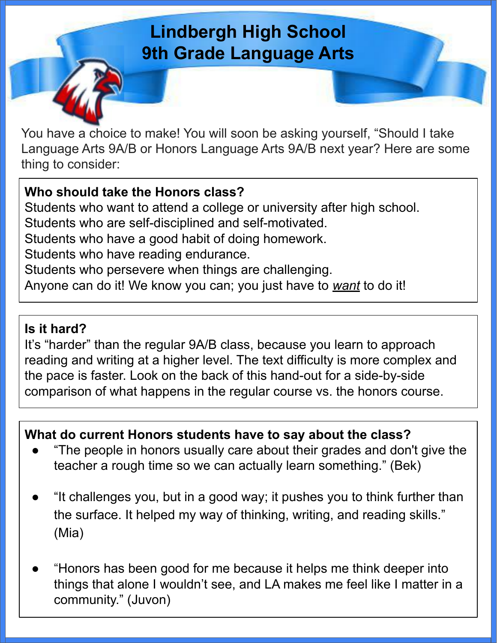## **Lindbergh High School 9th Grade Language Arts**

You have a choice to make! You will soon be asking yourself, "Should I take Language Arts 9A/B or Honors Language Arts 9A/B next year? Here are some thing to consider:

## **Who should take the Honors class?**

Students who want to attend a college or university after high school. Students who are self-disciplined and self-motivated. Students who have a good habit of doing homework. Students who have reading endurance. Students who persevere when things are challenging. Anyone can do it! We know you can; you just have to *want* to do it!

#### **Is it hard?**

It's "harder" than the regular 9A/B class, because you learn to approach reading and writing at a higher level. The text difficulty is more complex and the pace is faster. Look on the back of this hand-out for a side-by-side comparison of what happens in the regular course vs. the honors course.

## **What do current Honors students have to say about the class?**

- "The people in honors usually care about their grades and don't give the teacher a rough time so we can actually learn something." (Bek)
- "It challenges you, but in a good way; it pushes you to think further than the surface. It helped my way of thinking, writing, and reading skills." (Mia)
- "Honors has been good for me because it helps me think deeper into things that alone I wouldn't see, and LA makes me feel like I matter in a community." (Juvon)